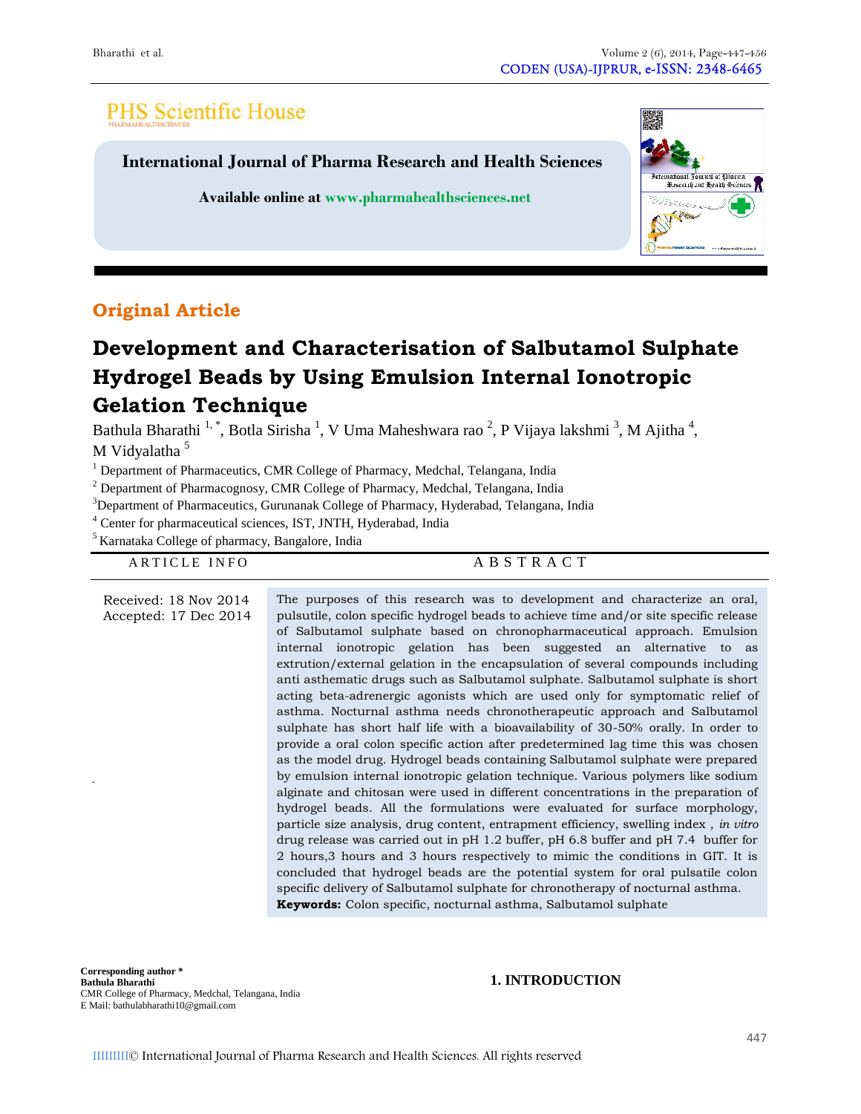# **PHS Scientific House**

**International Journal of Pharma Research and Health Sciences**

**Available online at www.pharmahealthsciences.net**



## **Original Article**

# **Development and Characterisation of Salbutamol Sulphate Hydrogel Beads by Using Emulsion Internal Ionotropic Gelation Technique**

Bathula Bharathi <sup>1,</sup>\*, Botla Sirisha <sup>1</sup>, V Uma Maheshwara rao <sup>2</sup>, P Vijaya lakshmi <sup>3</sup>, M Ajitha <sup>4</sup>, M Vidyalatha<sup>5</sup>

<sup>1</sup> Department of Pharmaceutics, CMR College of Pharmacy, Medchal, Telangana, India

|                                                              | <sup>1</sup> Department of Pharmaceutics, CMR College of Pharmacy, Medchal, Telangana, India         |
|--------------------------------------------------------------|------------------------------------------------------------------------------------------------------|
|                                                              | $2$ Department of Pharmacognosy, CMR College of Pharmacy, Medchal, Telangana, India                  |
|                                                              | <sup>3</sup> Department of Pharmaceutics, Gurunanak College of Pharmacy, Hyderabad, Telangana, India |
|                                                              | <sup>4</sup> Center for pharmaceutical sciences, IST, JNTH, Hyderabad, India                         |
| <sup>5</sup> Karnataka College of pharmacy, Bangalore, India |                                                                                                      |
|                                                              | ABSTRACT                                                                                             |
| ARTICLE INFO                                                 |                                                                                                      |
|                                                              |                                                                                                      |
| Received: 18 Nov 2014                                        | The purposes of this research was to development and characterize an oral,                           |
| Accepted: 17 Dec 2014                                        | pulsutile, colon specific hydrogel beads to achieve time and/or site specific release                |
|                                                              | of Salbutamol sulphate based on chronopharmaceutical approach. Emulsion                              |
|                                                              | internal ionotropic gelation has been suggested an alternative to<br>as                              |
|                                                              | extrution/external gelation in the encapsulation of several compounds including                      |
|                                                              | anti asthematic drugs such as Salbutamol sulphate. Salbutamol sulphate is short                      |
|                                                              | acting beta-adrenergic agonists which are used only for symptomatic relief of                        |
|                                                              | asthma. Nocturnal asthma needs chronotherapeutic approach and Salbutamol                             |
|                                                              | sulphate has short half life with a bioavailability of 30-50% orally. In order to                    |
|                                                              | provide a oral colon specific action after predetermined lag time this was chosen                    |
|                                                              | as the model drug. Hydrogel beads containing Salbutamol sulphate were prepared                       |
|                                                              | by emulsion internal ionotropic gelation technique. Various polymers like sodium                     |
|                                                              | alginate and chitosan were used in different concentrations in the preparation of                    |
|                                                              | hydrogel beads. All the formulations were evaluated for surface morphology,                          |
|                                                              | particle size analysis, drug content, entrapment efficiency, swelling index, in vitro                |
|                                                              | drug release was carried out in pH 1.2 buffer, pH 6.8 buffer and pH 7.4 buffer for                   |
|                                                              | 2 hours, 3 hours and 3 hours respectively to mimic the conditions in GIT. It is                      |
|                                                              | concluded that hydrogel beads are the potential system for oral pulsatile colon                      |
|                                                              | specific delivery of Salbutamol sulphate for chronotherapy of nocturnal asthma.                      |
|                                                              | <b>Keywords:</b> Colon specific, nocturnal asthma, Salbutamol sulphate                               |

**Corresponding author \* Bathula Bharathi** CMR College of Pharmacy, Medchal, Telangana, India E Mail: bathulabharathi10@gmail.com

#### **1. INTRODUCTION**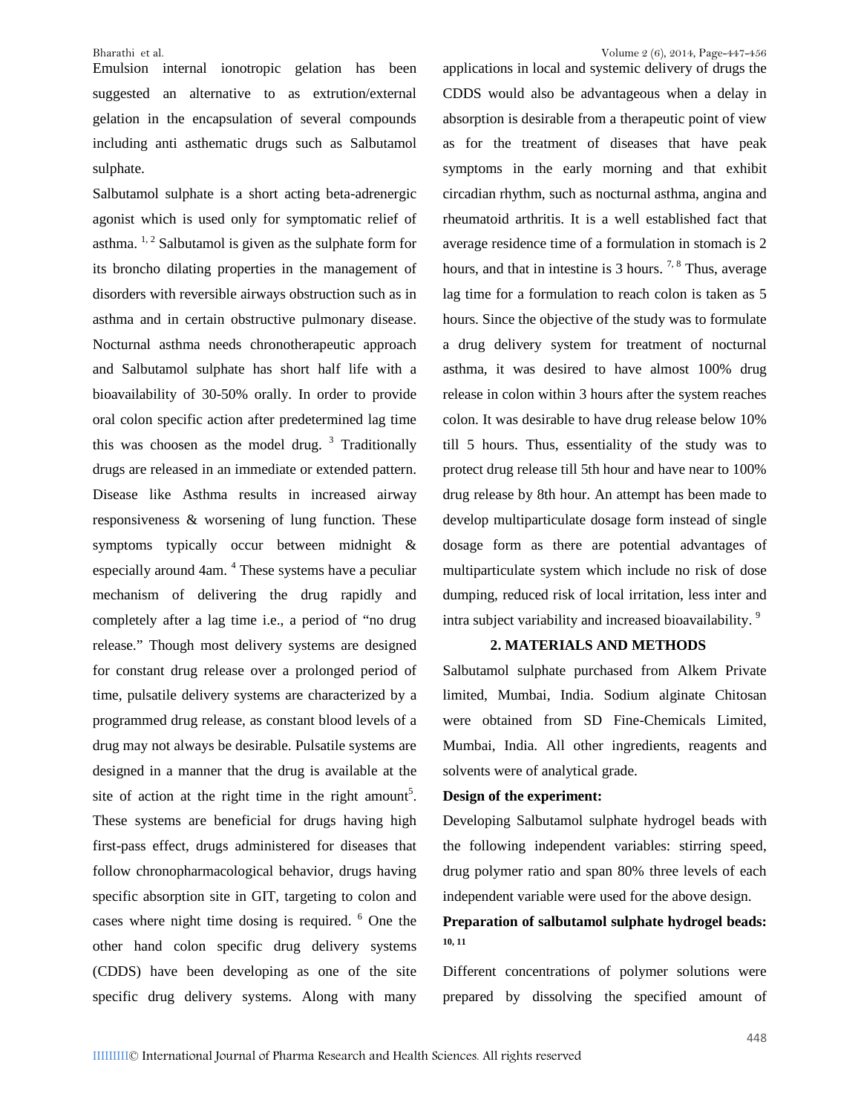Emulsion internal ionotropic gelation has been suggested an alternative to as extrution/external gelation in the encapsulation of several compounds including anti asthematic drugs such as Salbutamol sulphate.

Salbutamol sulphate is a short acting beta-adrenergic agonist which is used only for symptomatic relief of asthma.  $1, 2$  Salbutamol is given as the sulphate form for its broncho dilating properties in the management of disorders with reversible airways obstruction such as in asthma and in certain obstructive pulmonary disease. Nocturnal asthma needs chronotherapeutic approach and Salbutamol sulphate has short half life with a bioavailability of 30-50% orally. In order to provide oral colon specific action after predetermined lag time this was choosen as the model drug.  $3$  Traditionally drugs are released in an immediate or extended pattern. Disease like Asthma results in increased airway responsiveness & worsening of lung function. These symptoms typically occur between midnight & especially around 4am. <sup>4</sup> These systems have a peculiar mechanism of delivering the drug rapidly and completely after a lag time i.e., a period of "no drug release." Though most delivery systems are designed for constant drug release over a prolonged period of time, pulsatile delivery systems are characterized by a programmed drug release, as constant blood levels of a drug may not always be desirable. Pulsatile systems are designed in a manner that the drug is available at the site of action at the right time in the right amount<sup>5</sup>.  $\Gamma$ These systems are beneficial for drugs having high first-pass effect, drugs administered for diseases that follow chronopharmacological behavior, drugs having specific absorption site in GIT, targeting to colon and cases where night time dosing is required. <sup>6</sup> One the other hand colon specific drug delivery systems (CDDS) have been developing as one of the site specific drug delivery systems. Along with many

applications in local and systemic delivery of drugs the CDDS would also be advantageous when a delay in absorption is desirable from a therapeutic point of view as for the treatment of diseases that have peak symptoms in the early morning and that exhibit circadian rhythm, such as nocturnal asthma, angina and rheumatoid arthritis. It is a well established fact that average residence time of a formulation in stomach is 2 hours, and that in intestine is  $3$  hours. <sup>7, 8</sup> Thus, average lag time for a formulation to reach colon is taken as 5 hours. Since the objective of the study was to formulate a drug delivery system for treatment of nocturnal asthma, it was desired to have almost 100% drug release in colon within 3 hours after the system reaches colon. It was desirable to have drug release below 10% till 5 hours. Thus, essentiality of the study was to protect drug release till 5th hour and have near to 100% drug release by 8th hour. An attempt has been made to develop multiparticulate dosage form instead of single dosage form as there are potential advantages of multiparticulate system which include no risk of dose dumping, reduced risk of local irritation, less inter and intra subject variability and increased bioavailability.<sup>9</sup>

#### **2. MATERIALS AND METHODS**

Salbutamol sulphate purchased from Alkem Private limited, Mumbai, India. Sodium alginate Chitosan were obtained from SD Fine-Chemicals Limited, Mumbai, India. All other ingredients, reagents and solvents were of analytical grade.

#### **Design of the experiment:**

Developing Salbutamol sulphate hydrogel beads with the following independent variables: stirring speed, drug polymer ratio and span 80% three levels of each independent variable were used for the above design.

### **Preparation of salbutamol sulphate hydrogel beads: 10, 11**

Different concentrations of polymer solutions were prepared by dissolving the specified amount of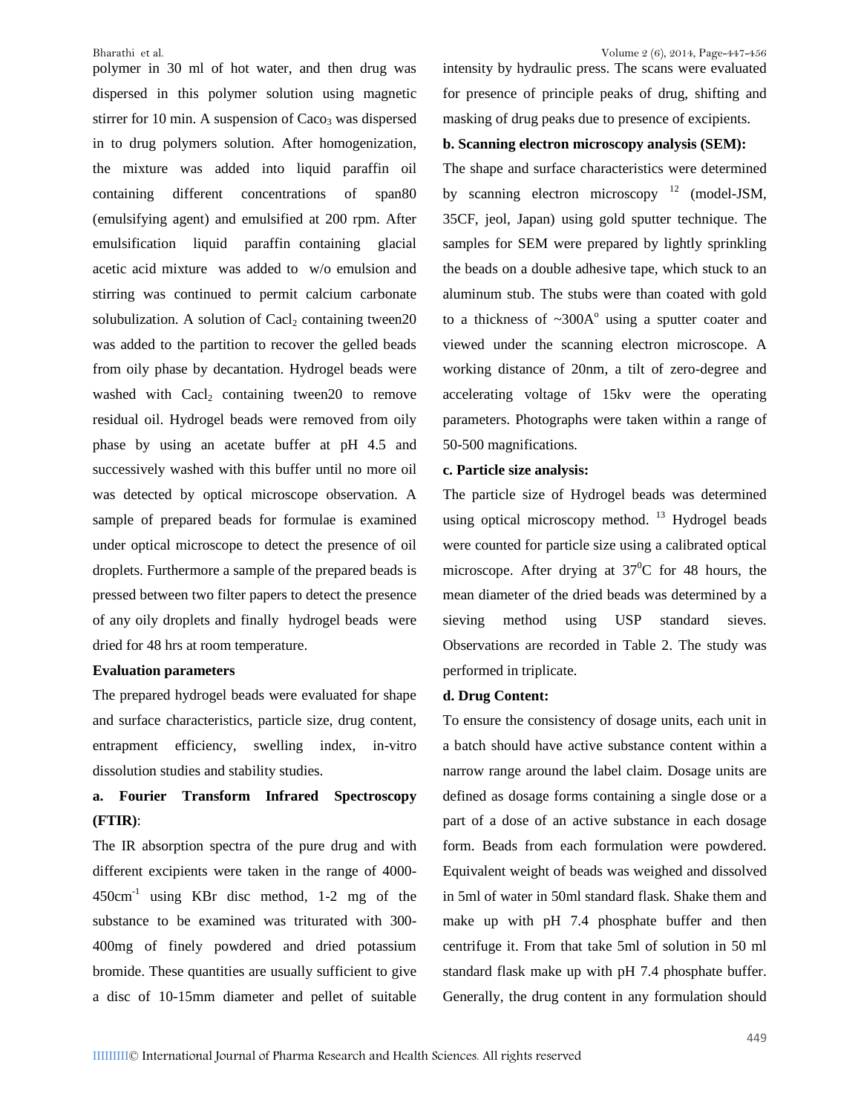polymer in 30 ml of hot water, and then drug was dispersed in this polymer solution using magnetic stirrer for 10 min. A suspension of  $Caco<sub>3</sub>$  was dispersed in to drug polymers solution. After homogenization, the mixture was added into liquid paraffin oil containing different concentrations of span80 (emulsifying agent) and emulsified at 200 rpm. After emulsification liquid paraffin containing glacial acetic acid mixture was added to w/o emulsion and stirring was continued to permit calcium carbonate solubulization. A solution of Cacl<sub>2</sub> containing tween20 was added to the partition to recover the gelled beads from oily phase by decantation. Hydrogel beads were washed with  $\text{Cacl}_2$  containing tween20 to remove residual oil. Hydrogel beads were removed from oily phase by using an acetate buffer at pH 4.5 and successively washed with this buffer until no more oil was detected by optical microscope observation. A sample of prepared beads for formulae is examined under optical microscope to detect the presence of oil droplets. Furthermore a sample of the prepared beads is pressed between two filter papers to detect the presence of any oily droplets and finally hydrogel beads were dried for 48 hrs at room temperature.

#### **Evaluation parameters**

The prepared hydrogel beads were evaluated for shape and surface characteristics, particle size, drug content, entrapment efficiency, swelling index, in-vitro dissolution studies and stability studies.

### **a. Fourier Transform Infrared Spectroscopy (FTIR)**:

The IR absorption spectra of the pure drug and with different excipients were taken in the range of 4000- 450cm-1 using KBr disc method, 1-2 mg of the substance to be examined was triturated with 300- 400mg of finely powdered and dried potassium bromide. These quantities are usually sufficient to give a disc of 10-15mm diameter and pellet of suitable for presence of principle peaks of drug, shifting and masking of drug peaks due to presence of excipients.

#### **b. Scanning electron microscopy analysis (SEM):**

The shape and surface characteristics were determined by scanning electron microscopy  $12 \text{ (model-ISM)}$ , 35CF, jeol, Japan) using gold sputter technique. The samples for SEM were prepared by lightly sprinkling the beads on a double adhesive tape, which stuck to an aluminum stub. The stubs were than coated with gold to a thickness of  $\sim 300$ A<sup>o</sup> using a sputter coater and viewed under the scanning electron microscope. A working distance of 20nm, a tilt of zero-degree and accelerating voltage of 15kv were the operating parameters. Photographs were taken within a range of 50-500 magnifications.

#### **c. Particle size analysis:**

The particle size of Hydrogel beads was determined using optical microscopy method.  $^{13}$  Hydrogel beads were counted for particle size using a calibrated optical microscope. After drying at  $37^{\circ}$ C for 48 hours, the mean diameter of the dried beads was determined by a sieving method using USP standard sieves. Observations are recorded in Table 2. The study was performed in triplicate.

#### **d. Drug Content:**

To ensure the consistency of dosage units, each unit in a batch should have active substance content within a narrow range around the label claim. Dosage units are defined as dosage forms containing a single dose or a part of a dose of an active substance in each dosage form. Beads from each formulation were powdered. Equivalent weight of beads was weighed and dissolved in 5ml of water in 50ml standard flask. Shake them and make up with pH 7.4 phosphate buffer and then centrifuge it. From that take 5ml of solution in 50 ml standard flask make up with pH 7.4 phosphate buffer. Generally, the drug content in any formulation should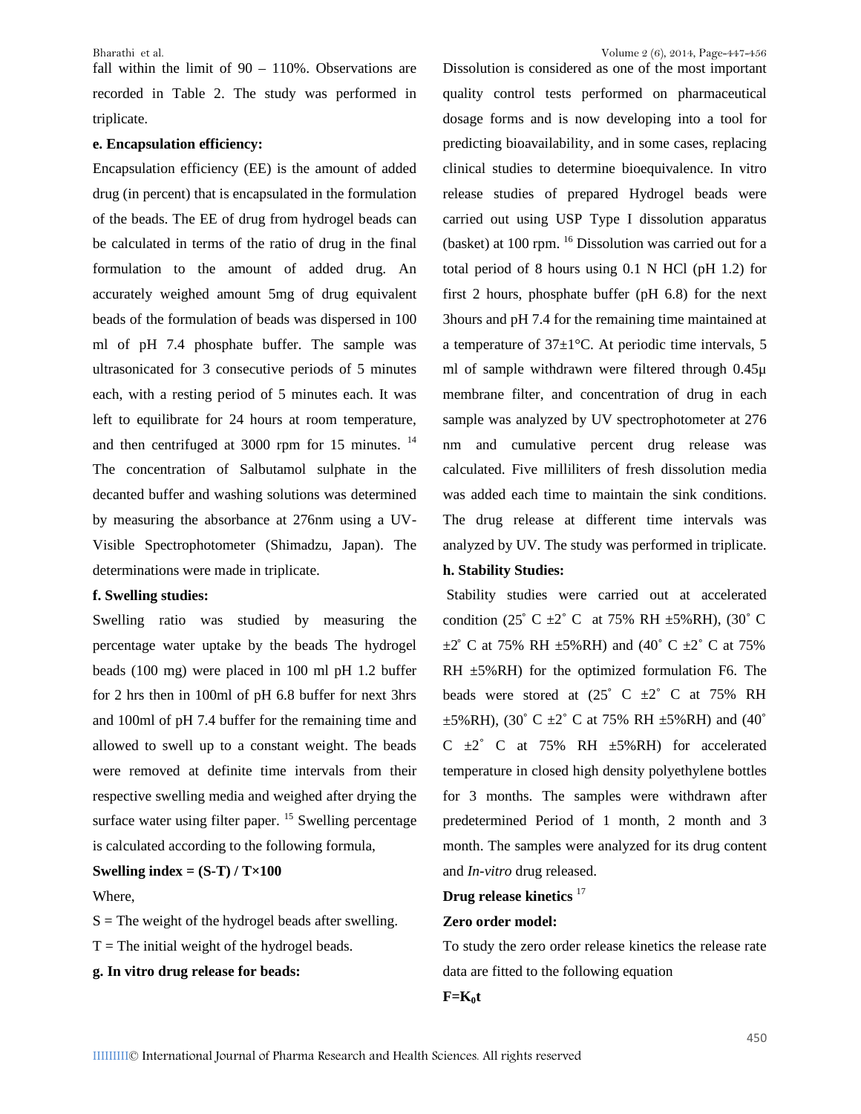fall within the limit of 90 – 110%. Observations are recorded in Table 2. The study was performed in triplicate.

#### **e. Encapsulation efficiency:**

Encapsulation efficiency (EE) is the amount of added drug (in percent) that is encapsulated in the formulation of the beads. The EE of drug from hydrogel beads can be calculated in terms of the ratio of drug in the final formulation to the amount of added drug. An accurately weighed amount 5mg of drug equivalent beads of the formulation of beads was dispersed in 100 ml of pH 7.4 phosphate buffer. The sample was ultrasonicated for 3 consecutive periods of 5 minutes each, with a resting period of 5 minutes each. It was left to equilibrate for 24 hours at room temperature, and then centrifuged at 3000 rpm for 15 minutes.<sup>14</sup> The concentration of Salbutamol sulphate in the decanted buffer and washing solutions was determined by measuring the absorbance at 276nm using a UV- Visible Spectrophotometer (Shimadzu, Japan). The determinations were made in triplicate.

#### **f. Swelling studies:**

Swelling ratio was studied by measuring the percentage water uptake by the beads The hydrogel beads (100 mg) were placed in 100 ml pH 1.2 buffer for 2 hrs then in 100ml of pH 6.8 buffer for next 3hrs and 100ml of pH 7.4 buffer for the remaining time and allowed to swell up to a constant weight. The beads were removed at definite time intervals from their respective swelling media and weighed after drying the surface water using filter paper.  $15$  Swelling percentage is calculated according to the following formula,

#### **Swelling index =**  $(S-T) / T \times 100$

Where,

 $S =$ The weight of the hydrogel beads after swelling.

 $T =$ The initial weight of the hydrogel beads.

**g. In vitro drug release for beads:**

Dissolution is considered as one of the most important quality control tests performed on pharmaceutical dosage forms and is now developing into a tool for predicting bioavailability, and in some cases, replacing clinical studies to determine bioequivalence. In vitro release studies of prepared Hydrogel beads were carried out using USP Type I dissolution apparatus (basket) at 100 rpm. <sup>16</sup> Dissolution was carried out for a total period of 8 hours using 0.1 N HCl (pH 1.2) for first 2 hours, phosphate buffer (pH 6.8) for the next 3hours and pH 7.4 for the remaining time maintained at a temperature of  $37\pm1$ °C. At periodic time intervals, 5 ml of sample withdrawn were filtered through 0.45μ membrane filter, and concentration of drug in each sample was analyzed by UV spectrophotometer at 276 nm and cumulative percent drug release was calculated. Five milliliters of fresh dissolution media was added each time to maintain the sink conditions. The drug release at different time intervals was analyzed by UV. The study was performed in triplicate.

#### **h. Stability Studies:**

Stability studies were carried out at accelerated condition (25° C  $\pm 2$ ° C at 75% RH  $\pm 5\%$  RH), (30° C  $\pm 2^{\circ}$  C at 75% RH  $\pm 5\%$  RH) and (40° C  $\pm 2^{\circ}$  C at 75% RH ±5%RH) for the optimized formulation F6. The beads were stored at  $(25\degree$  C  $\pm 2\degree$  C at 75% RH  $\pm$ 5%RH), (30° C  $\pm$ 2° C at 75% RH  $\pm$ 5%RH) and (40° C  $\pm 2^\circ$  C at 75% RH  $\pm 5\%$  RH) for accelerated temperature in closed high density polyethylene bottles for 3 months. The samples were withdrawn after predetermined Period of 1 month, 2 month and 3 month. The samples were analyzed for its drug content and *In-vitro* drug released.

#### **Drug release kinetics** <sup>17</sup>

#### **Zero order model:**

To study the zero order release kinetics the release rate data are fitted to the following equation

#### $F=K_0t$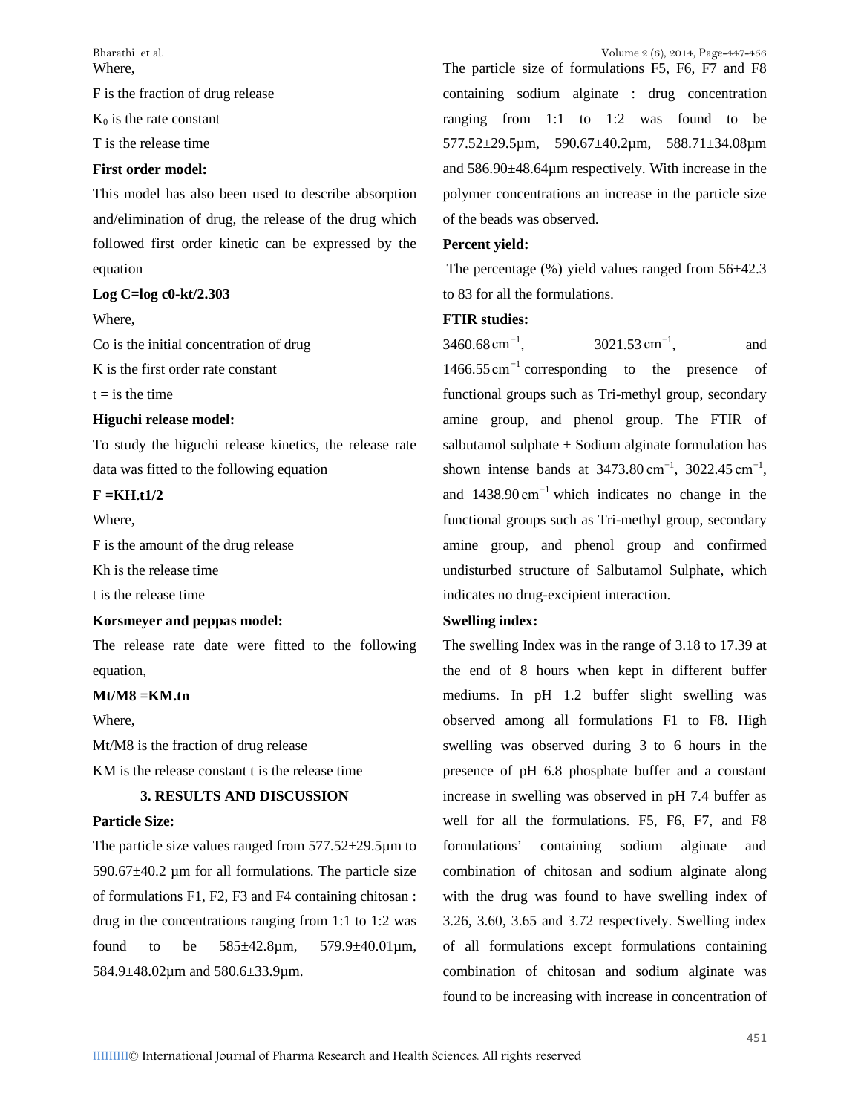**Where** 

F is the fraction of drug release

 $K_0$  is the rate constant

T is the release time

#### **First order model:**

This model has also been used to describe absorption and/elimination of drug, the release of the drug which followed first order kinetic can be expressed by the equation

#### **Log C=log c0-kt/2.303**

Where,

Co is the initial concentration of drug

K is the first order rate constant

 $t = i s$  the time

#### **Higuchi release model:**

To study the higuchi release kinetics, the release rate data was fitted to the following equation

#### **F =KH.t1/2**

Where,

F is the amount of the drug release

Kh is the release time

t is the release time

#### **Korsmeyer and peppas model:**

The release rate date were fitted to the following equation,

#### **Mt/M8 =KM.tn**

Where,

Mt/M8 is the fraction of drug release

KM is the release constant t is the release time

#### **3. RESULTS AND DISCUSSION**

#### **Particle Size:**

The particle size values ranged from  $577.52 \pm 29.5 \mu m$  to formulations' 590.67 $\pm$ 40.2 µm for all formulations. The particle size of formulations F1, F2, F3 and F4 containing chitosan : drug in the concentrations ranging from 1:1 to 1:2 was found to be 585±42.8µm, 579.9±40.01µm, 584.9±48.02µm and 580.6±33.9µm.

The particle size of formulations F5, F6, F7 and F8 containing sodium alginate : drug concentration ranging from 1:1 to 1:2 was found to be 577.52±29.5µm, 590.67±40.2µm, 588.71±34.08µm and 586.90±48.64µm respectively. With increase in the polymer concentrations an increase in the particle size of the beads was observed.

#### **Percent yield:**

The percentage (%) yield values ranged from 56±42.3 to 83 for all the formulations.

#### **FTIR studies:**

 $3460.68$  cm<sup>-1</sup>.  $3021.53$  cm<sup>-1</sup>. , and 1466.55 cm<sup>−</sup><sup>1</sup> corresponding to the presence of functional groups such as Tri-methyl group, secondary amine group, and phenol group. The FTIR of salbutamol sulphate + Sodium alginate formulation has shown intense bands at  $3473.80 \text{ cm}^{-1}$ ,  $3022.45 \text{ cm}^{-1}$ , and 1438.90 cm<sup>−</sup><sup>1</sup> which indicates no change in the functional groups such as Tri-methyl group, secondary amine group, and phenol group and confirmed undisturbed structure of Salbutamol Sulphate, which indicates no drug-excipient interaction.

#### **Swelling index:**

The swelling Index was in the range of 3.18 to 17.39 at the end of 8 hours when kept in different buffer mediums. In pH 1.2 buffer slight swelling was observed among all formulations F1 to F8. High swelling was observed during 3 to 6 hours in the presence of pH 6.8 phosphate buffer and a constant increase in swelling was observed in pH 7.4 buffer as well for all the formulations. F5, F6, F7, and F8 containing sodium alginate and combination of chitosan and sodium alginate along with the drug was found to have swelling index of 3.26, 3.60, 3.65 and 3.72 respectively. Swelling index of all formulations except formulations containing combination of chitosan and sodium alginate was found to be increasing with increase in concentration of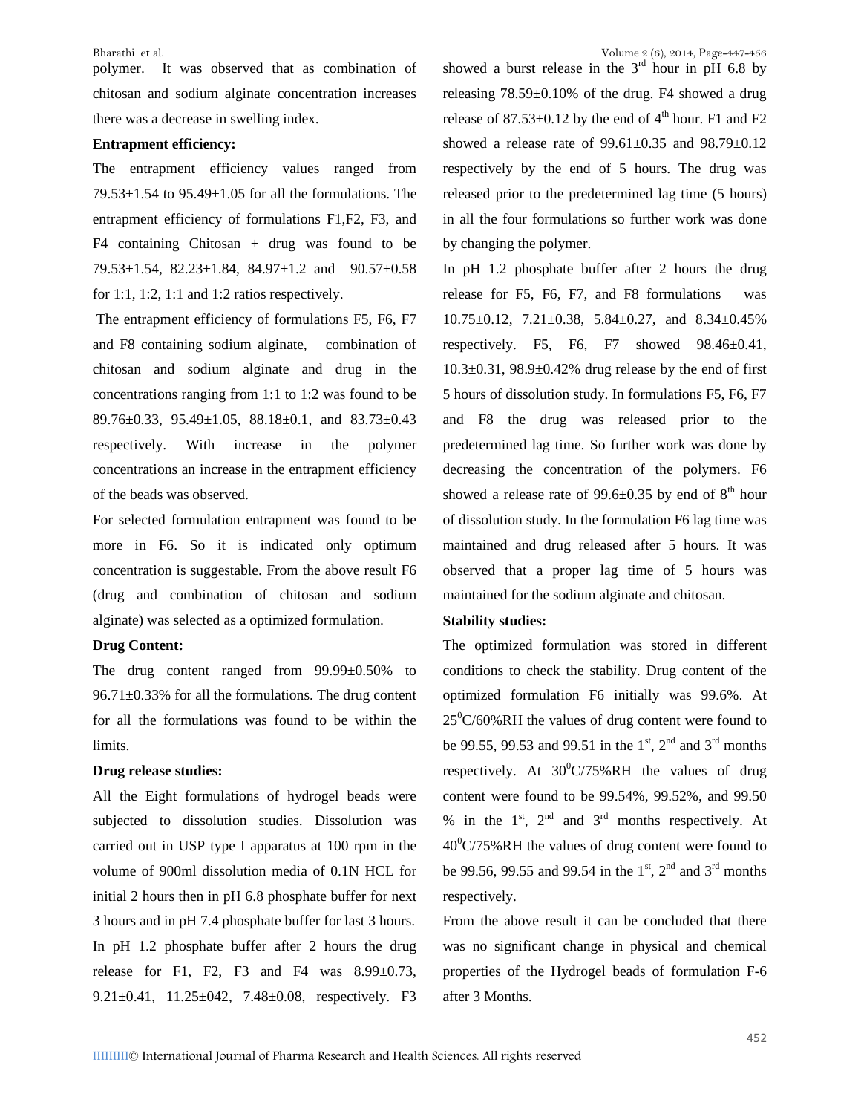polymer. It was observed that as combination of chitosan and sodium alginate concentration increases there was a decrease in swelling index.

#### **Entrapment efficiency:**

The entrapment efficiency values ranged from  $79.53\pm1.54$  to  $95.49\pm1.05$  for all the formulations. The entrapment efficiency of formulations F1,F2, F3, and F4 containing Chitosan + drug was found to be 79.53±1.54, 82.23±1.84, 84.97±1.2 and 90.57±0.58 for 1:1, 1:2, 1:1 and 1:2 ratios respectively.

The entrapment efficiency of formulations F5, F6, F7 and F8 containing sodium alginate, combination of chitosan and sodium alginate and drug in the concentrations ranging from 1:1 to 1:2 was found to be 89.76±0.33, 95.49±1.05, 88.18±0.1, and 83.73±0.43 respectively. With increase in the polymer concentrations an increase in the entrapment efficiency of the beads was observed.

For selected formulation entrapment was found to be more in F6. So it is indicated only optimum concentration is suggestable. From the above result F6 (drug and combination of chitosan and sodium alginate) was selected as a optimized formulation.

#### **Drug Content:**

The drug content ranged from 99.99±0.50% to 96.71±0.33% for all the formulations. The drug content for all the formulations was found to be within the limits.

#### **Drug release studies:**

All the Eight formulations of hydrogel beads were subjected to dissolution studies. Dissolution was carried out in USP type I apparatus at 100 rpm in the volume of 900ml dissolution media of 0.1N HCL for initial 2 hours then in pH 6.8 phosphate buffer for next 3 hours and in pH 7.4 phosphate buffer for last 3 hours. In pH 1.2 phosphate buffer after 2 hours the drug release for F1, F2, F3 and F4 was  $8.99 \pm 0.73$ , 9.21±0.41, 11.25±042, 7.48±0.08, respectively. F3

showed a burst release in the  $3<sup>rd</sup>$  hour in pH 6.8 by releasing 78.59±0.10% of the drug. F4 showed a drug release of  $87.53\pm0.12$  by the end of  $4<sup>th</sup>$  hour. F1 and F2 showed a release rate of  $99.61 \pm 0.35$  and  $98.79 \pm 0.12$ respectively by the end of 5 hours. The drug was released prior to the predetermined lag time (5 hours) in all the four formulations so further work was done by changing the polymer.

In pH 1.2 phosphate buffer after 2 hours the drug release for F5, F6, F7, and F8 formulations was  $10.75\pm0.12$ ,  $7.21\pm0.38$ ,  $5.84\pm0.27$ , and  $8.34\pm0.45\%$ respectively. F5, F6, F7 showed 98.46±0.41,  $10.3\pm0.31$ ,  $98.9\pm0.42$ % drug release by the end of first 5 hours of dissolution study. In formulations F5, F6, F7 and F8 the drug was released prior to the predetermined lag time. So further work was done by decreasing the concentration of the polymers. F6 showed a release rate of 99.6 $\pm$ 0.35 by end of 8<sup>th</sup> hour of dissolution study. In the formulation F6 lag time was maintained and drug released after 5 hours. It was observed that a proper lag time of 5 hours was maintained for the sodium alginate and chitosan.

#### **Stability studies:**

The optimized formulation was stored in different conditions to check the stability. Drug content of the optimized formulation F6 initially was 99.6%. At  $25^{\circ}$ C/60%RH the values of drug content were found to be 99.55, 99.53 and 99.51 in the 1<sup>st</sup>, 2<sup>nd</sup> and 3<sup>rd</sup> months respectively. At  $30^{\circ}$ C/75%RH the values of drug content were found to be 99.54%, 99.52%, and 99.50 % in the  $1<sup>st</sup>$ ,  $2<sup>nd</sup>$  and  $3<sup>rd</sup>$  months respectively. At  $40^{\circ}$ C/75%RH the values of drug content were found to be 99.56, 99.55 and 99.54 in the  $1^{st}$ ,  $2^{nd}$  and  $3^{rd}$  months respectively.

From the above result it can be concluded that there was no significant change in physical and chemical properties of the Hydrogel beads of formulation F-6 after 3 Months.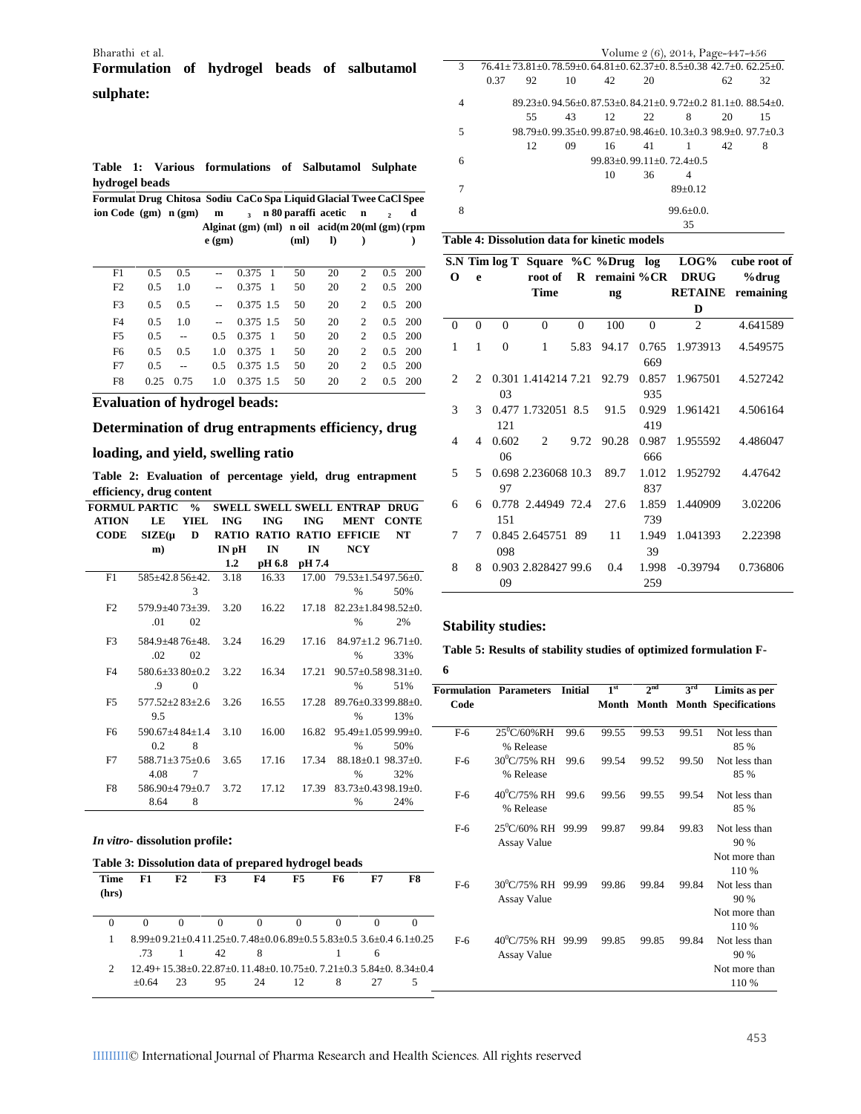### **Formulation of hydrogel beads of salbutamol sulphate:**

**Table 1: Various formulations of Salbutamol Sulphate hydrogel beads**

| Formulat Drug Chitosa Sodiu CaCo Spa Liquid Glacial Twee CaCl Spee |      |      |             |                     |                |      |                                                        |                             |                |            |
|--------------------------------------------------------------------|------|------|-------------|---------------------|----------------|------|--------------------------------------------------------|-----------------------------|----------------|------------|
| ion Code $(gm)$ n $(gm)$                                           |      |      | $\mathbf m$ | $\ddot{\mathbf{3}}$ |                |      | n 80 paraffi acetic                                    | $\mathbf n$                 | $\overline{ }$ | d          |
|                                                                    |      |      |             |                     |                |      | Alginat $(gm)$ (ml) n oil $\arctan 20$ (ml $(gm)$ (rpm |                             |                |            |
|                                                                    |      |      | $e$ (gm)    |                     |                | (ml) | I)                                                     |                             |                |            |
|                                                                    |      |      |             |                     |                |      |                                                        |                             |                |            |
| F1                                                                 | 0.5  | 0.5  |             | 0.375               | -1             | 50   | 20                                                     | $\overline{c}$              | $0.5^{\circ}$  | 200        |
| F2                                                                 | 0.5  | 1.0  | $-$         | 0.375               | - 1            | 50   | 20                                                     | $\overline{c}$              | $0.5^{\circ}$  | -200       |
| F <sub>3</sub>                                                     | 0.5  | 0.5  |             | 0.375 1.5           |                | 50   | 20                                                     | $\overline{c}$              |                | $0.5$ 200  |
| F <sub>4</sub>                                                     | 0.5  | 1.0  | $-$         | 0.375 1.5           |                | 50   | 20                                                     | $\mathcal{D}_{\mathcal{A}}$ | 0.5            | -200       |
| F5                                                                 | 0.5  | $-$  | 0.5         | 0.375               | $\overline{1}$ | 50   | 20                                                     | $\mathfrak{D}$              | $0.5^{\circ}$  | <b>200</b> |
| F <sub>6</sub>                                                     | 0.5  | 0.5  | 1.0         | 0.375               | $\overline{1}$ | 50   | 20                                                     | $\mathfrak{D}$              | 0.5            | 200        |
| F7                                                                 | 0.5  | $-$  | 0.5         | 0.375 1.5           |                | 50   | 20                                                     | 2                           | $0.5^{\circ}$  | -200       |
| F8                                                                 | 0.25 | 0.75 | 1.0         | 0.375 1.5           |                | 50   | 20                                                     | $\overline{c}$              | $0.5^{\circ}$  | - 200      |
|                                                                    |      |      |             |                     |                |      |                                                        |                             |                |            |

#### **Evaluation of hydrogel beads:**

#### **Determination of drug entrapments efficiency, drug**

#### **loading, and yield, swelling ratio**

**Table 2: Evaluation of percentage yield, drug entrapment efficiency, drug content**

| 6 | 6                  |              | SWELL SWELL SWELL ENTRAP DRUG           |            |            |                  | $\frac{0}{0}$  |                           | <b>FORMUL PARTIC</b> |
|---|--------------------|--------------|-----------------------------------------|------------|------------|------------------|----------------|---------------------------|----------------------|
|   |                    | <b>CONTE</b> | <b>MENT</b>                             | <b>ING</b> | <b>ING</b> | <b>ING</b>       | YIEL           | LE                        | <b>ATION</b>         |
| 7 | 7                  | <b>NT</b>    | <b>RATIO RATIO RATIO EFFICIE</b>        |            |            |                  | D              | $\mathbf{SIZE}(\mu)$      | <b>CODE</b>          |
|   |                    |              | <b>NCY</b>                              | IN         | IN         | IN <sub>pH</sub> |                | m)                        |                      |
| 8 | 8                  |              |                                         | pH 7.4     | pH 6.8     | 1.2              |                |                           |                      |
|   |                    |              | $17.00$ $79.53 \pm 1.5497.56 \pm 0.$    |            | 16.33      | 3.18             |                | $585 \pm 42.856 \pm 42.$  | F1                   |
|   |                    | 50%          | $\frac{0}{0}$                           |            |            |                  | 3              |                           |                      |
|   |                    |              | $82.23 \pm 1.8498.52 \pm 0.$            | 17.18      | 16.22      | 3.20             |                | $579.9 \pm 40.73 \pm 39.$ | F2                   |
|   | Stabili            | 2%           | $\%$                                    |            |            |                  | 02             | .01                       |                      |
|   |                    |              | $84.97+1.2$ 96.71+0.                    | 17.16      | 16.29      | 3.24             |                | $584.9 \pm 48.76 \pm 48.$ | F <sub>3</sub>       |
|   | Table 5:           | 33%          | $\frac{0}{0}$                           |            |            |                  | 02             | .02                       |                      |
|   | 6                  |              | $90.57 \pm 0.5898.31 \pm 0.$            | 17.21      | 16.34      | 3.22             |                | $580.6 \pm 3380 \pm 0.2$  | F <sub>4</sub>       |
|   |                    | 51%          | $\frac{0}{0}$                           |            |            |                  | $\Omega$       | .9                        |                      |
|   | Formulatio<br>Code |              | $17.28$ $89.76 \pm 0.3399.88 \pm 0.$    |            | 16.55      | 3.26             |                | $577.52 \pm 2.83 \pm 2.6$ | F5                   |
|   |                    | 13%          | $\frac{0}{0}$                           |            |            |                  |                | 9.5                       |                      |
|   | $F-6$              |              | $16.82$ $95.49 \pm 1.0599.99 \pm 0.001$ |            | 16.00      | 3.10             |                | $590.67 \pm 4.84 \pm 1.4$ | F <sub>6</sub>       |
|   |                    | 50%          | $\frac{0}{0}$                           |            |            |                  | 8              | 0.2                       |                      |
|   | $F-6$              |              | $88.18 \pm 0.1$ $98.37 \pm 0.$          | 17.34      | 17.16      | 3.65             |                | $588.71 \pm 375 \pm 0.6$  | F7                   |
|   |                    | 32%          | $\frac{0}{0}$                           |            |            |                  | $\overline{7}$ | 4.08                      |                      |
|   |                    |              | $83.73 \pm 0.4398.19 \pm 0.$            | 17.39      | 17.12      | 3.72             |                | $586.90\pm4.79\pm0.7$     | F8                   |
|   | F-6                | 24%          | $\frac{0}{0}$                           |            |            |                  | 8              | 8.64                      |                      |
|   |                    |              |                                         |            |            |                  |                |                           |                      |

#### *In vitro***- dissolution profile:**

#### **Table 3: Dissolution data of prepared hydrogel beads**

| Time  |          | F2 | F3       | F4 | F5       | F6 | F7 | F8                                                                                            | F-6   |
|-------|----------|----|----------|----|----------|----|----|-----------------------------------------------------------------------------------------------|-------|
| (hrs) |          |    |          |    |          |    |    |                                                                                               |       |
|       |          |    |          |    |          |    |    |                                                                                               |       |
|       | $\Omega$ |    | $\Omega$ |    | $\Omega$ |    |    |                                                                                               |       |
|       |          |    |          |    |          |    |    | $8.99\pm0.921\pm0.411.25\pm0.748\pm0.06.89\pm0.55.83\pm0.53.6\pm0.46.1\pm0.25$                | $F-6$ |
|       | -73      |    | 42       | 8  |          |    | 6  |                                                                                               |       |
|       |          |    |          |    |          |    |    | $12.49 + 15.38 \pm 0.22.87 \pm 0.11.48 \pm 0.10.75 \pm 0.7.21 \pm 0.35.84 \pm 0.8.34 \pm 0.4$ |       |
|       | $+0.64$  | 23 | 95       | 24 | 12       | 8  |    |                                                                                               |       |

| Bharathi et al.                                                              |   |                                                                  |    |                                                            | Volume 2 (6), 2014, Page-447-456 |               |    |    |
|------------------------------------------------------------------------------|---|------------------------------------------------------------------|----|------------------------------------------------------------|----------------------------------|---------------|----|----|
| Formulation of hydrogel beads of salbutamol                                  |   | $76.41+73.81+0.78.59+0.64.81+0.62.37+0.8.5+0.38.42.7+0.62.25+0.$ |    |                                                            |                                  |               |    |    |
|                                                                              |   | 0.37<br>92                                                       | 10 | 42                                                         | 20                               |               | 62 | 32 |
| sulphate:                                                                    | 4 |                                                                  |    | $89.23+0.94.56+0.87.53+0.84.21+0.9.72+0.2.81.1+0.88.54+0.$ |                                  |               |    |    |
|                                                                              |   | 55                                                               | 43 |                                                            | 22                               | 8             | 20 | 15 |
|                                                                              |   |                                                                  |    | $98.79+0.99.35+0.99.87+0.98.46+0.10.3+0.398.9+0.97.7+0.3$  |                                  |               |    |    |
|                                                                              |   | 12                                                               | 09 | 16                                                         | 41                               |               | 42 | 8  |
| Table 1: Various formulations of Salbutamol Sulphate                         | 6 |                                                                  |    |                                                            | $99.83+0.99.11+0.72.4+0.5$       |               |    |    |
|                                                                              |   |                                                                  |    | 10                                                         | 36                               | 4             |    |    |
| hvdrogel beads                                                               |   |                                                                  |    |                                                            |                                  | $89 \pm 0.12$ |    |    |
| Formulat Drug Chitosa Sodiu CaCo Spa Liquid Glacial Twee CaCl Spee           |   |                                                                  |    |                                                            |                                  |               |    |    |
| ion Code $(gm)$ n $(gm)$ m<br>3 n 80 paraffi acetic n<br>d<br>$\overline{2}$ | 8 |                                                                  |    |                                                            |                                  | $99.6 + 0.0$  |    |    |
| Alginat $(gm)$ (ml) n oil $\arctan 20$ (ml $(gm)$ (rpm                       |   |                                                                  |    |                                                            |                                  | 35            |    |    |

#### **) Table 4: Dissolution data for kinetic models**

|                |                |          |                                 |              |                        |          | S.N Tim log T Square %C %Drug log LOG% | cube root of |
|----------------|----------------|----------|---------------------------------|--------------|------------------------|----------|----------------------------------------|--------------|
| $\mathbf 0$    | e              |          |                                 |              |                        |          | root of R remaini %CR DRUG             | %drug        |
|                |                |          | <b>Time</b>                     |              | $\mathbf{n}\mathbf{g}$ |          | <b>RETAINE</b>                         | remaining    |
|                |                |          |                                 |              |                        |          | D                                      |              |
| $\overline{0}$ | $\Omega$       | $\Omega$ | $\mathbf{0}$                    | $\mathbf{0}$ | 100                    | $\Omega$ | $\mathfrak{D}$                         | 4.641589     |
| 1              | 1              | $\Omega$ | $\mathbf{1}$                    | 5.83         | 94.17 0.765            |          | 1.973913                               | 4.549575     |
|                |                |          |                                 |              |                        | 669      |                                        |              |
| $\mathfrak{D}$ | $\mathfrak{D}$ |          | 0.301 1.414214 7.21 92.79 0.857 |              |                        |          | 1.967501                               | 4.527242     |
|                |                | 03       |                                 |              |                        | 935      |                                        |              |
| 3              | 3              |          | 0.477 1.732051 8.5 91.5         |              |                        | 0.929    | 1.961421                               | 4.506164     |
|                |                | 121      |                                 |              |                        | 419      |                                        |              |
| 4              | 4              | 0.602    | 2                               |              | 9.72 90.28             | 0.987    | 1.955592                               | 4.486047     |
|                |                | 06       |                                 |              |                        | 666      |                                        |              |
| 5              | 5.             |          | 0.698 2.236068 10.3             |              | 89.7 1.012             |          | 1.952792 4.47642                       |              |
|                |                | 97       |                                 |              |                        | 837      |                                        |              |
| 6              | 6              |          | 0.778 2.44949 72.4              |              | 27.6                   | 1.859    | 1.440909                               | 3.02206      |
|                |                | 151      |                                 |              |                        | 739      |                                        |              |
| 7              | 7              |          | 0.845 2.645751 89               |              | 11                     | 1.949    | 1.041393                               | 2.22398      |
|                |                | 098      |                                 |              |                        | 39       |                                        |              |
| 8              | 8              |          | 0.903 2.828427 99.6             |              | 0.4                    | 1.998    | -0.39794                               | 0.736806     |
|                |                | 09       |                                 |              |                        | 259      |                                        |              |

#### 2% **Stability studies:**

33% **Table 5: Results of stability studies of optimized formulation F- 6**

|                         | <b>Formulation Parameters</b>        | <b>Initial</b> | 1 <sup>st</sup> | 2 <sup>nd</sup> | 3rd   | Limits as per                    |
|-------------------------|--------------------------------------|----------------|-----------------|-----------------|-------|----------------------------------|
| Code                    |                                      |                |                 |                 |       | Month Month Month Specifications |
| $F-6$                   | $25^0C/60\%RH$<br>% Release          | 99.6           | 99.55           | 99.53           | 99.51 | Not less than<br>85 %            |
| $F-6$                   | $30^0$ C/75% RH<br>% Release         | 99.6           | 99.54           | 99.52           | 99.50 | Not less than<br>85 %            |
| $F-6$                   | $40^{\circ}$ C/75% RH<br>% Release   | 99.6           | 99.56           | 99.55           | 99.54 | Not less than<br>85 %            |
| $F-6$                   | $25^0$ C/60% RH 99.99<br>Assay Value |                | 99.87           | 99.84           | 99.83 | Not less than<br>90 %            |
|                         |                                      |                |                 |                 |       | Not more than<br>110 %           |
| $F-6$                   | 30°C/75% RH 99.99<br>Assay Value     |                | 99.86           | 99.84           | 99.84 | Not less than<br>90 %            |
|                         |                                      |                |                 |                 |       | Not more than<br>110 %           |
| $6.1 \pm 0.25$<br>$F-6$ | 40°C/75% RH 99.99<br>Assay Value     |                | 99.85           | 99.85           | 99.84 | Not less than<br>90 %            |
| $8.34 \pm 0.4$          |                                      |                |                 |                 |       | Not more than<br>110 %           |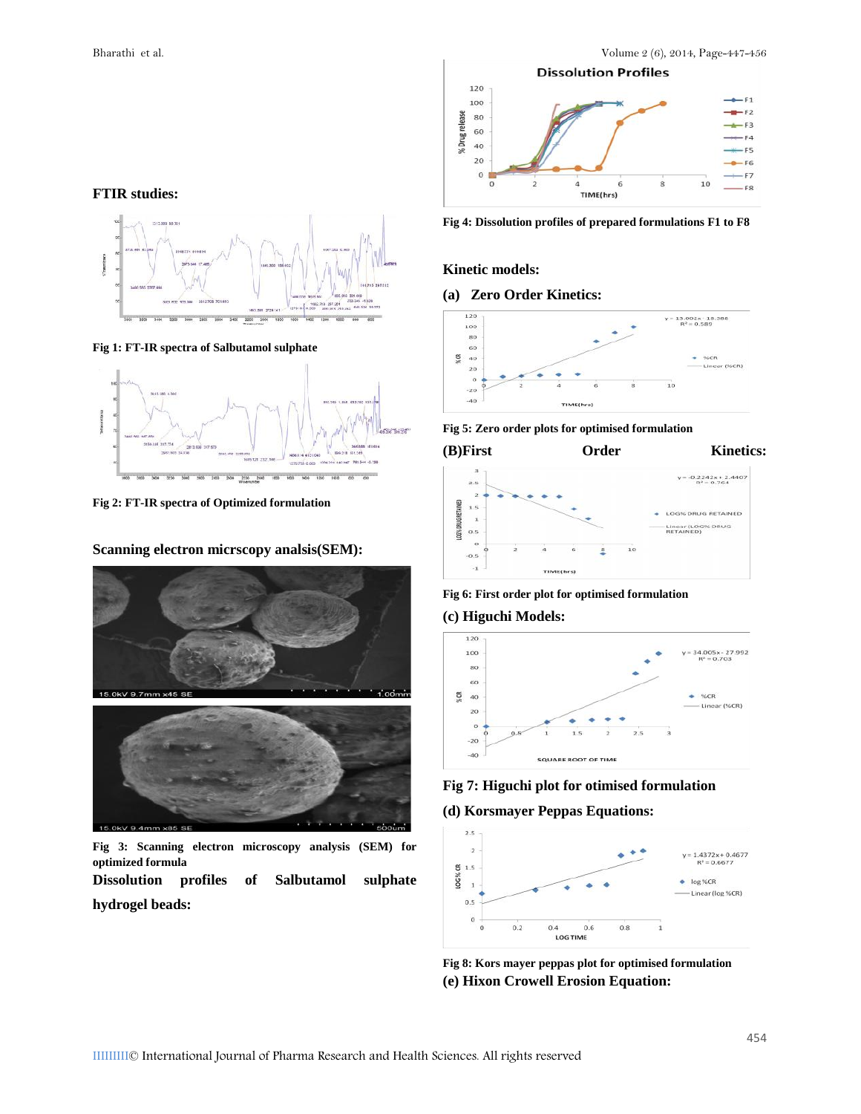

**Fig 4: Dissolution profiles of prepared formulations F1 to F8**

#### **Kinetic models:**

#### **(a) Zero Order Kinetics:**



**Fig 5: Zero order plots for optimised formulation**



**Fig 6: First order plot for optimised formulation**

#### **(c) Higuchi Models:**



**Fig 7: Higuchi plot for otimised formulation**

**(d) Korsmayer Peppas Equations:**



**Fig 8: Kors mayer peppas plot for optimised formulation (e) Hixon Crowell Erosion Equation:**





**Fig 1: FT-IR spectra of Salbutamol sulphate**



**Fig 2: FT-IR spectra of Optimized formulation**

**Scanning electron micrscopy analsis(SEM):**



**Fig 3: Scanning electron microscopy analysis (SEM) for optimized formula**

**Dissolution profiles of Salbutamol sulphate hydrogel beads:**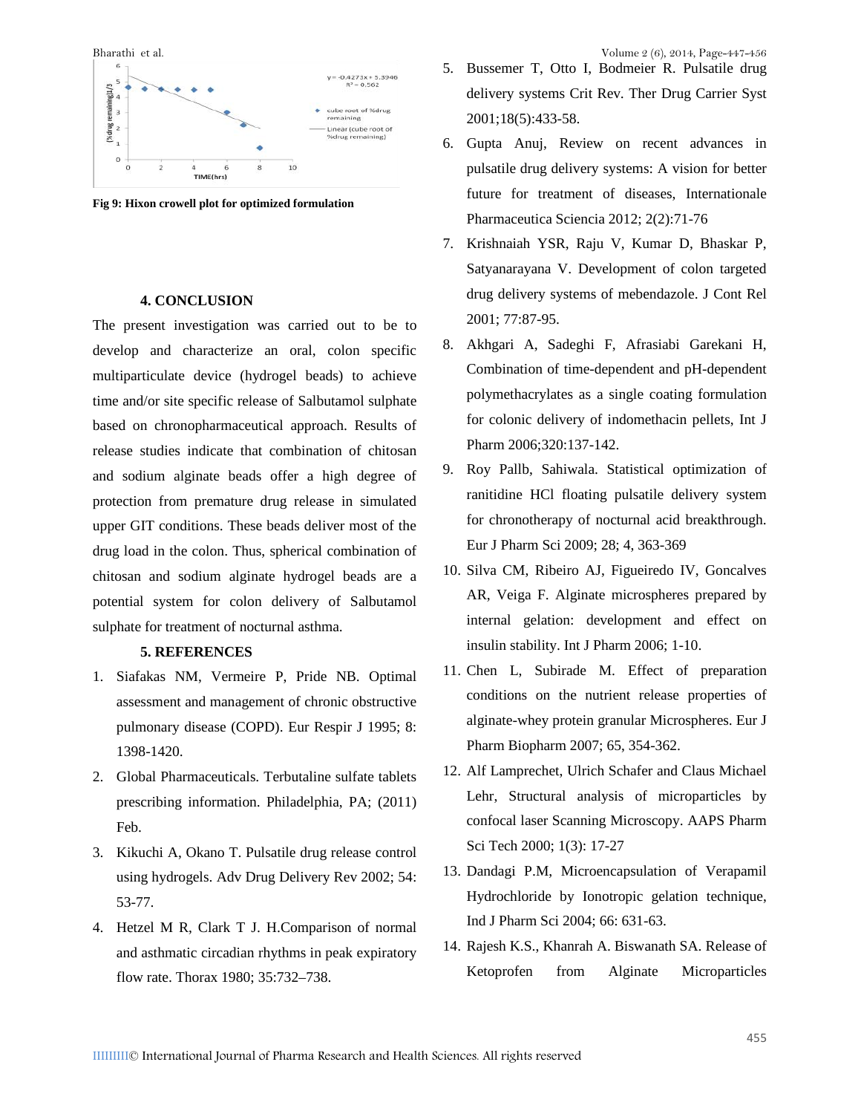

**Fig 9: Hixon crowell plot for optimized formulation**

#### **4. CONCLUSION**

The present investigation was carried out to be to develop and characterize an oral, colon specific multiparticulate device (hydrogel beads) to achieve time and/or site specific release of Salbutamol sulphate based on chronopharmaceutical approach. Results of release studies indicate that combination of chitosan and sodium alginate beads offer a high degree of protection from premature drug release in simulated upper GIT conditions. These beads deliver most of the drug load in the colon. Thus, spherical combination of chitosan and sodium alginate hydrogel beads are a potential system for colon delivery of Salbutamol sulphate for treatment of nocturnal asthma.

#### **5. REFERENCES**

- 1. Siafakas NM, Vermeire P, Pride NB. Optimal assessment and management of chronic obstructive pulmonary disease (COPD). Eur Respir J 1995; 8: 1398-1420.
- 2. Global Pharmaceuticals. Terbutaline sulfate tablets prescribing information. Philadelphia, PA; (2011) Feb.
- 3. Kikuchi A, Okano T. Pulsatile drug release control using hydrogels. Adv Drug Delivery Rev 2002; 54: 53-77.
- 4. Hetzel M R, Clark T J. H.Comparison of normal and asthmatic circadian rhythms in peak expiratory flow rate. Thorax 1980; 35:732–738.

- 5. Bussemer T, Otto I, Bodmeier R. Pulsatile drug delivery systems Crit Rev. Ther Drug Carrier Syst 2001;18(5):433-58.
- 6. Gupta Anuj, Review on recent advances in pulsatile drug delivery systems: A vision for better future for treatment of diseases, Internationale Pharmaceutica Sciencia 2012; 2(2):71-76
- 7. Krishnaiah YSR, Raju V, Kumar D, Bhaskar P, Satyanarayana V. Development of colon targeted drug delivery systems of mebendazole. J Cont Rel 2001; 77:87-95.
- 8. Akhgari A, Sadeghi F, Afrasiabi Garekani H, Combination of time-dependent and pH-dependent polymethacrylates as a single coating formulation for colonic delivery of indomethacin pellets, Int J Pharm 2006;320:137-142.
- 9. Roy Pallb, Sahiwala. Statistical optimization of ranitidine HCl floating pulsatile delivery system for chronotherapy of nocturnal acid breakthrough. Eur J Pharm Sci 2009; 28; 4, 363-369
- 10. Silva CM, Ribeiro AJ, Figueiredo IV, Goncalves AR, Veiga F. Alginate microspheres prepared by internal gelation: development and effect on insulin stability. Int J Pharm 2006; 1-10.
- 11. Chen L, Subirade M. Effect of preparation conditions on the nutrient release properties of alginate-whey protein granular Microspheres. Eur J Pharm Biopharm 2007; 65, 354-362.
- 12. Alf Lamprechet, Ulrich Schafer and Claus Michael Lehr, Structural analysis of microparticles by confocal laser Scanning Microscopy. AAPS Pharm Sci Tech 2000; 1(3): 17-27
- 13. Dandagi P.M, Microencapsulation of Verapamil Hydrochloride by Ionotropic gelation technique, Ind J Pharm Sci 2004; 66: 631-63.
- 14. Rajesh K.S., Khanrah A. Biswanath SA. Release of Ketoprofen from Alginate Microparticles